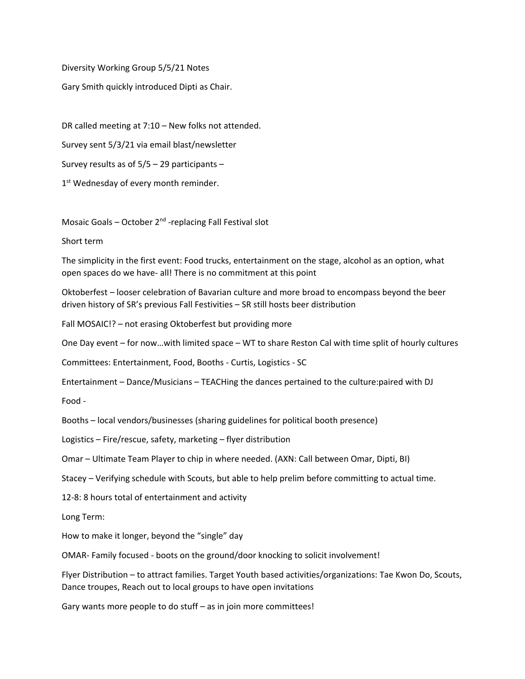Diversity Working Group 5/5/21 Notes

Gary Smith quickly introduced Dipti as Chair.

DR called meeting at 7:10 – New folks not attended. Survey sent 5/3/21 via email blast/newsletter Survey results as of 5/5 – 29 participants –

1<sup>st</sup> Wednesday of every month reminder.

Mosaic Goals - October 2<sup>nd</sup> -replacing Fall Festival slot

Short term

The simplicity in the first event: Food trucks, entertainment on the stage, alcohol as an option, what open spaces do we have- all! There is no commitment at this point

Oktoberfest – looser celebration of Bavarian culture and more broad to encompass beyond the beer driven history of SR's previous Fall Festivities – SR still hosts beer distribution

Fall MOSAIC!? – not erasing Oktoberfest but providing more

One Day event – for now…with limited space – WT to share Reston Cal with time split of hourly cultures

Committees: Entertainment, Food, Booths - Curtis, Logistics - SC

Entertainment – Dance/Musicians – TEACHing the dances pertained to the culture:paired with DJ

Food -

Booths – local vendors/businesses (sharing guidelines for political booth presence)

Logistics – Fire/rescue, safety, marketing – flyer distribution

Omar – Ultimate Team Player to chip in where needed. (AXN: Call between Omar, Dipti, BI)

Stacey – Verifying schedule with Scouts, but able to help prelim before committing to actual time.

12-8: 8 hours total of entertainment and activity

Long Term:

How to make it longer, beyond the "single" day

OMAR- Family focused - boots on the ground/door knocking to solicit involvement!

Flyer Distribution – to attract families. Target Youth based activities/organizations: Tae Kwon Do, Scouts, Dance troupes, Reach out to local groups to have open invitations

Gary wants more people to do stuff – as in join more committees!